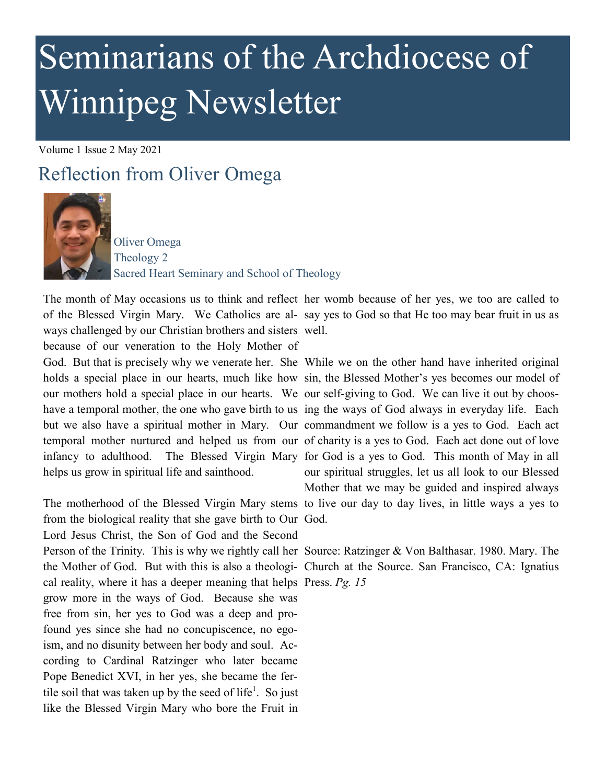## Seminarians of the Archdiocese of Winnipeg Newsletter

Volume 1 Issue 2 May 2021

## Reflection from Oliver Omega



Oliver Omega Theology 2 Sacred Heart Seminary and School of Theology

The month of May occasions us to think and reflect her womb because of her yes, we too are called to of the Blessed Virgin Mary. We Catholics are al-say yes to God so that He too may bear fruit in us as ways challenged by our Christian brothers and sisters well.

because of our veneration to the Holy Mother of helps us grow in spiritual life and sainthood.

from the biological reality that she gave birth to Our God. Lord Jesus Christ, the Son of God and the Second Person of the Trinity. This is why we rightly call her Source: Ratzinger & Von Balthasar. 1980. Mary. The the Mother of God. But with this is also a theologi-Church at the Source. San Francisco, CA: Ignatius cal reality, where it has a deeper meaning that helps Press. *Pg. 15* grow more in the ways of God. Because she was free from sin, her yes to God was a deep and profound yes since she had no concupiscence, no egoism, and no disunity between her body and soul. According to Cardinal Ratzinger who later became Pope Benedict XVI, in her yes, she became the fertile soil that was taken up by the seed of life<sup>1</sup>. So just like the Blessed Virgin Mary who bore the Fruit in

God. But that is precisely why we venerate her. She While we on the other hand have inherited original holds a special place in our hearts, much like how sin, the Blessed Mother's yes becomes our model of our mothers hold a special place in our hearts. We our self-giving to God. We can live it out by chooshave a temporal mother, the one who gave birth to us ing the ways of God always in everyday life. Each but we also have a spiritual mother in Mary. Our commandment we follow is a yes to God. Each act temporal mother nurtured and helped us from our of charity is a yes to God. Each act done out of love infancy to adulthood. The Blessed Virgin Mary for God is a yes to God. This month of May in all The motherhood of the Blessed Virgin Mary stems to live our day to day lives, in little ways a yes to our spiritual struggles, let us all look to our Blessed Mother that we may be guided and inspired always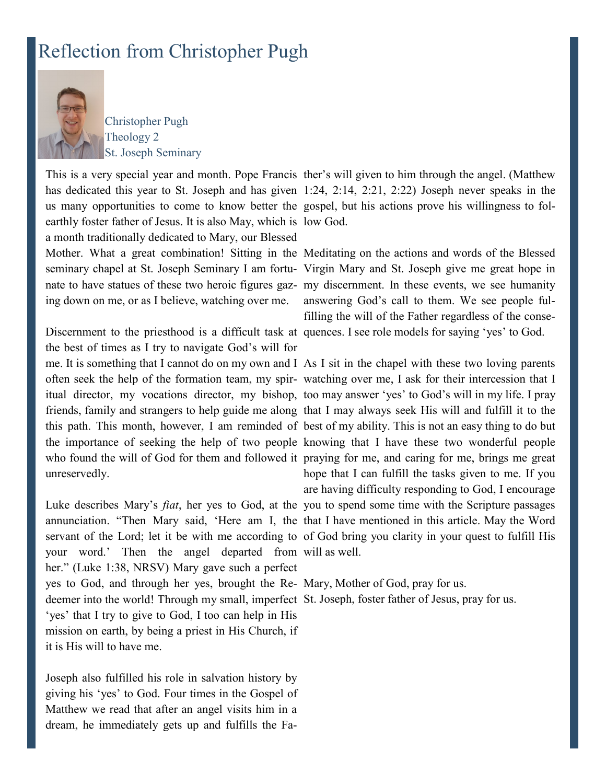## Reflection from Christopher Pugh



Christopher Pugh Theology 2 St. Joseph Seminary

us many opportunities to come to know better the gospel, but his actions prove his willingness to folearthly foster father of Jesus. It is also May, which is low God. a month traditionally dedicated to Mary, our Blessed Mother. What a great combination! Sitting in the Meditating on the actions and words of the Blessed seminary chapel at St. Joseph Seminary I am fortu-Virgin Mary and St. Joseph give me great hope in nate to have statues of these two heroic figures gaz-my discernment. In these events, we see humanity ing down on me, or as I believe, watching over me.

the best of times as I try to navigate God's will for me. It is something that I cannot do on my own and I As I sit in the chapel with these two loving parents unreservedly.

your word.' Then the angel departed from will as well. her." (Luke 1:38, NRSV) Mary gave such a perfect yes to God, and through her yes, brought the Re-Mary, Mother of God, pray for us. deemer into the world! Through my small, imperfect St. Joseph, foster father of Jesus, pray for us.'yes' that I try to give to God, I too can help in His mission on earth, by being a priest in His Church, if it is His will to have me.

Joseph also fulfilled his role in salvation history by giving his 'yes' to God. Four times in the Gospel of Matthew we read that after an angel visits him in a dream, he immediately gets up and fulfills the Fa-

This is a very special year and month. Pope Francis ther's will given to him through the angel. (Matthew has dedicated this year to St. Joseph and has given 1:24, 2:14, 2:21, 2:22) Joseph never speaks in the

Discernment to the priesthood is a difficult task at quences. I see role models for saying 'yes' to God. answering God's call to them. We see people fulfilling the will of the Father regardless of the conse-

often seek the help of the formation team, my spir-watching over me, I ask for their intercession that I itual director, my vocations director, my bishop, too may answer 'yes' to God's will in my life. I pray friends, family and strangers to help guide me along that I may always seek His will and fulfill it to the this path. This month, however, I am reminded of best of my ability. This is not an easy thing to do but the importance of seeking the help of two people knowing that I have these two wonderful people who found the will of God for them and followed it praying for me, and caring for me, brings me great Luke describes Mary's *fiat*, her yes to God, at the you to spend some time with the Scripture passages annunciation. "Then Mary said, 'Here am I, the that I have mentioned in this article. May the Word servant of the Lord; let it be with me according to of God bring you clarity in your quest to fulfill His hope that I can fulfill the tasks given to me. If you are having difficulty responding to God, I encourage